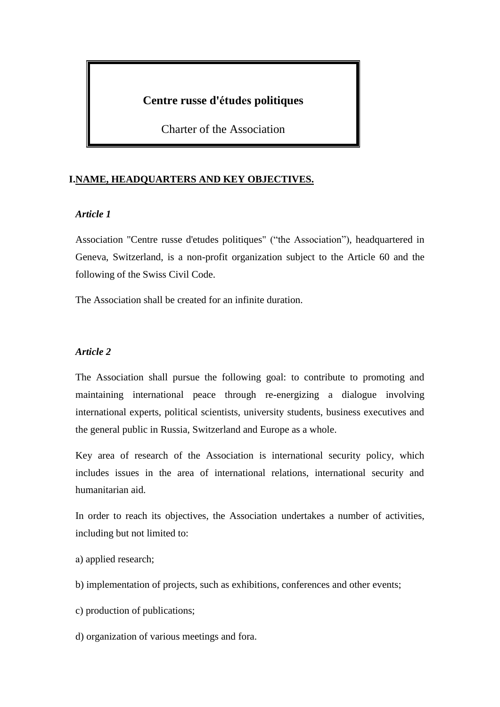# **Centre russe d'études politiques**

Charter of the Association

# **I.NAME, HEADQUARTERS AND KEY OBJECTIVES.**

## *Article 1*

Association "Centre russe d'etudes politiques" ("the Association"), headquartered in Geneva, Switzerland, is a non-profit organization subject to the Article 60 and the following of the Swiss Civil Code.

The Association shall be created for an infinite duration.

## *Article 2*

The Association shall pursue the following goal: to contribute to promoting and maintaining international peace through re-energizing a dialogue involving international experts, political scientists, university students, business executives and the general public in Russia, Switzerland and Europe as a whole.

Key area of research of the Association is international security policy, which includes issues in the area of international relations, international security and humanitarian aid.

In order to reach its objectives, the Association undertakes a number of activities, including but not limited to:

- а) applied research;
- b) implementation of projects, such as exhibitions, conferences and other events;
- c) production of publications;
- d) organization of various meetings and fora.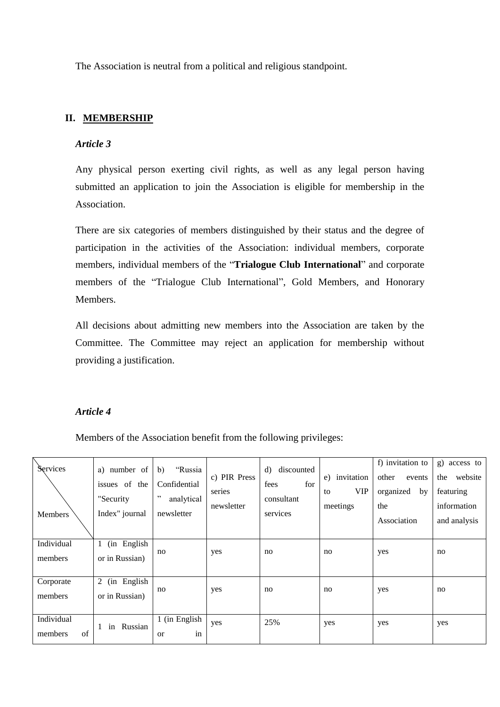The Association is neutral from a political and religious standpoint.

# **II. MEMBERSHIP**

## *Article 3*

Any physical person exerting civil rights, as well as any legal person having submitted an application to join the Association is eligible for membership in the Association.

There are six categories of members distinguished by their status and the degree of participation in the activities of the Association: individual members, corporate members, individual members of the "**Trialogue Club International**" and corporate members of the "Trialogue Club International", Gold Members, and Honorary Members.

All decisions about admitting new members into the Association are taken by the Committee. The Committee may reject an application for membership without providing a justification.

# *Article 4*

Members of the Association benefit from the following privileges:

| Services<br><b>Members</b>  | a) number of<br>issues of the<br>"Security<br>Index" journal | b)<br>"Russia<br>Confidential<br>, ,<br>analytical<br>newsletter | c) PIR Press<br>series<br>newsletter | discounted<br>d)<br>for<br>fees<br>consultant<br>services | invitation<br>e)<br><b>VIP</b><br>to<br>meetings | f) invitation to<br>other<br>events<br>organized<br>by<br>the<br>Association | g)<br>access to<br>the<br>website<br>featuring<br>information<br>and analysis |
|-----------------------------|--------------------------------------------------------------|------------------------------------------------------------------|--------------------------------------|-----------------------------------------------------------|--------------------------------------------------|------------------------------------------------------------------------------|-------------------------------------------------------------------------------|
| Individual<br>members       | (in English)<br>1<br>or in Russian)                          | no                                                               | yes                                  | no                                                        | no                                               | yes                                                                          | no                                                                            |
| Corporate<br>members        | (in English<br>2<br>or in Russian)                           | no                                                               | yes                                  | no                                                        | no                                               | yes                                                                          | no                                                                            |
| Individual<br>of<br>members | Russian<br>in                                                | $\overline{1}$ (in English<br>in<br><sub>or</sub>                | yes                                  | 25%                                                       | yes                                              | yes                                                                          | yes                                                                           |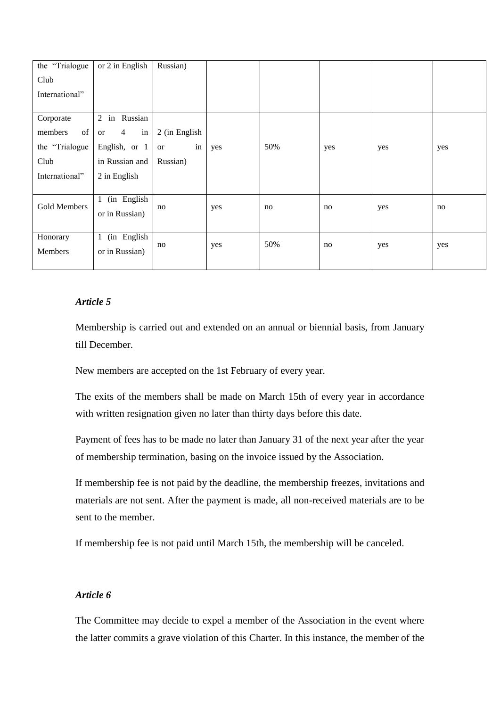| the "Trialogue" | or 2 in English              | Russian)                  |     |     |     |     |     |
|-----------------|------------------------------|---------------------------|-----|-----|-----|-----|-----|
| Club            |                              |                           |     |     |     |     |     |
| International"  |                              |                           |     |     |     |     |     |
|                 |                              |                           |     |     |     |     |     |
| Corporate       | in Russian<br>$\overline{2}$ |                           |     |     |     |     |     |
| of<br>members   | in<br>$\overline{4}$<br>or   | 2 (in English             |     |     |     |     |     |
| the "Trialogue" | English, or 1                | $\operatorname{in}$<br>or | yes | 50% | yes | yes | yes |
| Club            | in Russian and               | Russian)                  |     |     |     |     |     |
| International"  | 2 in English                 |                           |     |     |     |     |     |
|                 |                              |                           |     |     |     |     |     |
| Gold Members    | (in English<br>$\mathbf{1}$  |                           |     |     | no  |     |     |
|                 | or in Russian)               | no                        | yes | no  |     | yes | no  |
|                 |                              |                           |     |     |     |     |     |
| Honorary        | (in English<br>1             | no                        | yes | 50% | no  | yes | yes |
| Members         | or in Russian)               |                           |     |     |     |     |     |
|                 |                              |                           |     |     |     |     |     |

Membership is carried out and extended on an annual or biennial basis, from January till December.

New members are accepted on the 1st February of every year.

The exits of the members shall be made on March 15th of every year in accordance with written resignation given no later than thirty days before this date.

Payment of fees has to be made no later than January 31 of the next year after the year of membership termination, basing on the invoice issued by the Association.

If membership fee is not paid by the deadline, the membership freezes, invitations and materials are not sent. After the payment is made, all non-received materials are to be sent to the member.

If membership fee is not paid until March 15th, the membership will be canceled.

# *Article 6*

The Committee may decide to expel a member of the Association in the event where the latter commits a grave violation of this Charter. In this instance, the member of the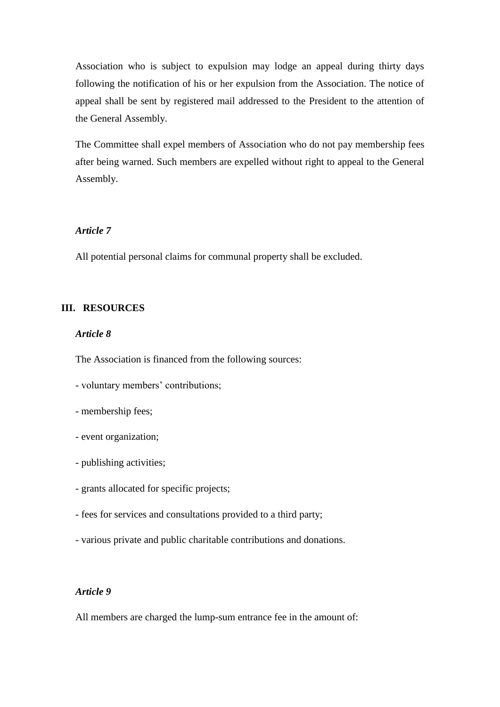Association who is subject to expulsion may lodge an appeal during thirty days following the notification of his or her expulsion from the Association. The notice of appeal shall be sent by registered mail addressed to the President to the attention of the General Assembly.

The Committee shall expel members of Association who do not pay membership fees after being warned. Such members are expelled without right to appeal to the General Assembly.

## *Article 7*

All potential personal claims for communal property shall be excluded.

## **III. RESOURCES**

### *Article 8*

The Association is financed from the following sources:

- voluntary members' contributions;
- membership fees;
- event organization;
- publishing activities;
- grants allocated for specific projects;
- fees for services and consultations provided to a third party;
- various private and public charitable contributions and donations.

### *Article 9*

All members are charged the lump-sum entrance fee in the amount of: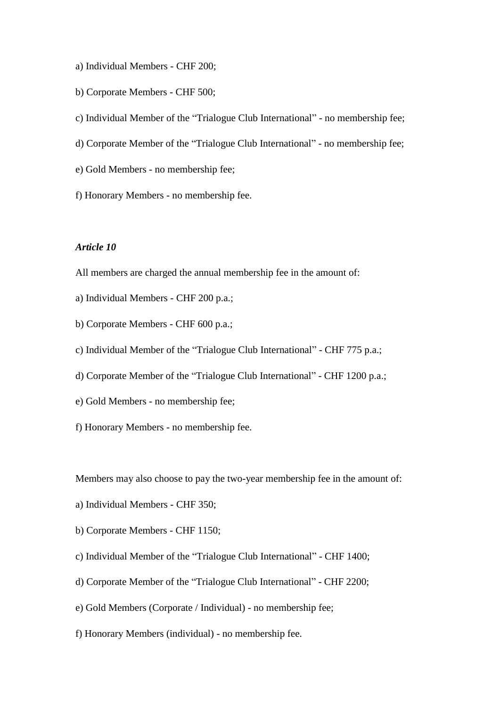- a) Individual Members CHF 200;
- b) Corporate Members CHF 500;
- c) Individual Member of the "Trialogue Club International" no membership fee;
- d) Corporate Member of the "Trialogue Club International" no membership fee;
- e) Gold Members no membership fee;
- f) Honorary Members no membership fee.

- All members are charged the annual membership fee in the amount of:
- a) Individual Members CHF 200 p.a.;
- b) Corporate Members CHF 600 p.a.;
- c) Individual Member of the "Trialogue Club International" CHF 775 p.a.;
- d) Corporate Member of the "Trialogue Club International" CHF 1200 p.a.;
- e) Gold Members no membership fee;
- f) Honorary Members no membership fee.

Members may also choose to pay the two-year membership fee in the amount of:

- a) Individual Members CHF 350;
- b) Corporate Members CHF 1150;
- c) Individual Member of the "Trialogue Club International" CHF 1400;
- d) Corporate Member of the "Trialogue Club International" CHF 2200;
- e) Gold Members (Corporate / Individual) no membership fee;
- f) Honorary Members (individual) no membership fee.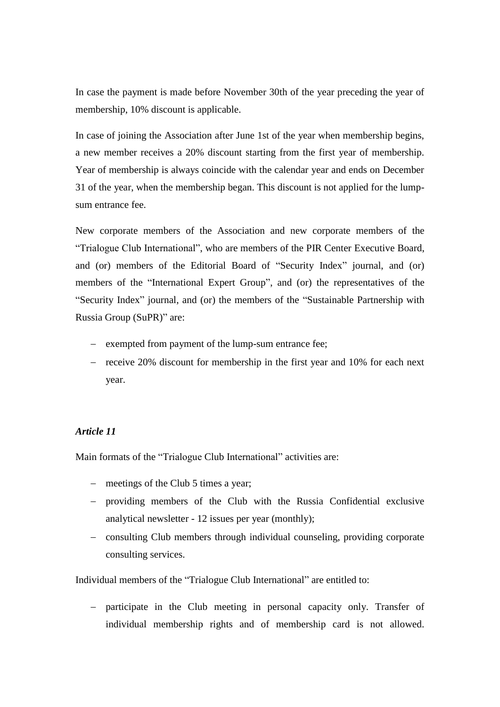In case the payment is made before November 30th of the year preceding the year of membership, 10% discount is applicable.

In case of joining the Association after June 1st of the year when membership begins, a new member receives a 20% discount starting from the first year of membership. Year of membership is always coincide with the calendar year and ends on December 31 of the year, when the membership began. This discount is not applied for the lumpsum entrance fee.

New corporate members of the Association and new corporate members of the "Trialogue Club International", who are members of the PIR Center Executive Board, and (or) members of the Editorial Board of "Security Index" journal, and (or) members of the "International Expert Group", and (or) the representatives of the "Security Index" journal, and (or) the members of the "Sustainable Partnership with Russia Group (SuPR)" are:

- exempted from payment of the lump-sum entrance fee;
- $-$  receive 20% discount for membership in the first year and 10% for each next year.

### *Article 11*

Main formats of the "Trialogue Club International" activities are:

- meetings of the Club 5 times a year;
- providing members of the Club with the Russia Confidential exclusive analytical newsletter - 12 issues per year (monthly);
- consulting Club members through individual counseling, providing corporate consulting services.

Individual members of the "Trialogue Club International" are entitled to:

 participate in the Club meeting in personal capacity only. Transfer of individual membership rights and of membership card is not allowed.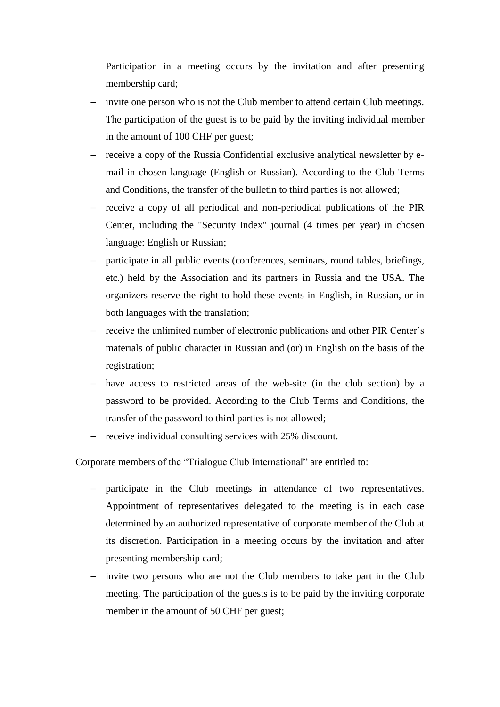Participation in a meeting occurs by the invitation and after presenting membership card;

- invite one person who is not the Club member to attend certain Club meetings. The participation of the guest is to be paid by the inviting individual member in the amount of 100 CHF per guest;
- receive a copy of the Russia Confidential exclusive analytical newsletter by email in chosen language (English or Russian). According to the Club Terms and Conditions, the transfer of the bulletin to third parties is not allowed;
- receive a copy of all periodical and non-periodical publications of the PIR Center, including the "Security Index" journal (4 times per year) in chosen language: English or Russian;
- participate in all public events (conferences, seminars, round tables, briefings, etc.) held by the Association and its partners in Russia and the USA. The organizers reserve the right to hold these events in English, in Russian, or in both languages with the translation;
- receive the unlimited number of electronic publications and other PIR Center's materials of public character in Russian and (or) in English on the basis of the registration;
- have access to restricted areas of the web-site (in the club section) by a password to be provided. According to the Club Terms and Conditions, the transfer of the password to third parties is not allowed;
- receive individual consulting services with 25% discount.

Corporate members of the "Trialogue Club International" are entitled to:

- participate in the Club meetings in attendance of two representatives. Appointment of representatives delegated to the meeting is in each case determined by an authorized representative of corporate member of the Club at its discretion. Participation in a meeting occurs by the invitation and after presenting membership card;
- invite two persons who are not the Club members to take part in the Club meeting. The participation of the guests is to be paid by the inviting corporate member in the amount of 50 CHF per guest;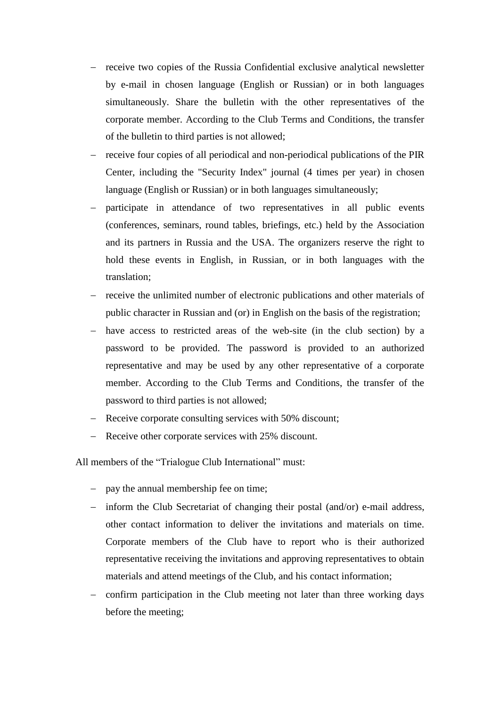- receive two copies of the Russia Confidential exclusive analytical newsletter by e-mail in chosen language (English or Russian) or in both languages simultaneously. Share the bulletin with the other representatives of the corporate member. According to the Club Terms and Conditions, the transfer of the bulletin to third parties is not allowed;
- receive four copies of all periodical and non-periodical publications of the PIR Center, including the "Security Index" journal (4 times per year) in chosen language (English or Russian) or in both languages simultaneously;
- participate in attendance of two representatives in all public events (conferences, seminars, round tables, briefings, etc.) held by the Association and its partners in Russia and the USA. The organizers reserve the right to hold these events in English, in Russian, or in both languages with the translation;
- receive the unlimited number of electronic publications and other materials of public character in Russian and (or) in English on the basis of the registration;
- have access to restricted areas of the web-site (in the club section) by a password to be provided. The password is provided to an authorized representative and may be used by any other representative of a corporate member. According to the Club Terms and Conditions, the transfer of the password to third parties is not allowed;
- Receive corporate consulting services with 50% discount;
- Receive other corporate services with 25% discount.

All members of the "Trialogue Club International" must:

- pay the annual membership fee on time;
- inform the Club Secretariat of changing their postal (and/or) e-mail address, other contact information to deliver the invitations and materials on time. Corporate members of the Club have to report who is their authorized representative receiving the invitations and approving representatives to obtain materials and attend meetings of the Club, and his contact information;
- confirm participation in the Club meeting not later than three working days before the meeting;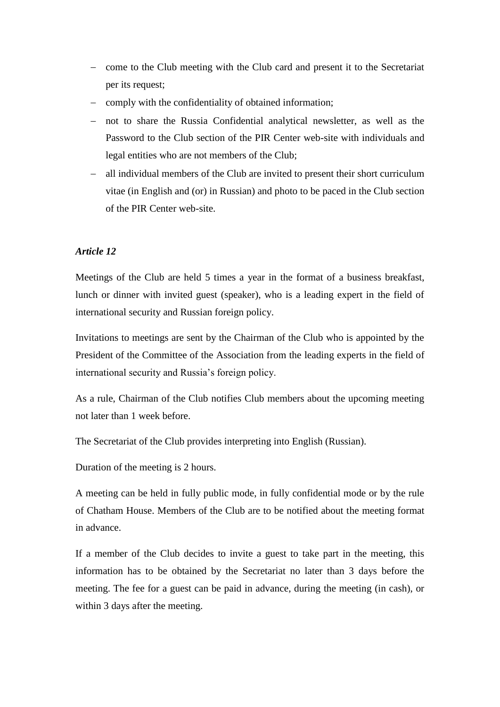- come to the Club meeting with the Club card and present it to the Secretariat per its request;
- comply with the confidentiality of obtained information;
- not to share the Russia Confidential analytical newsletter, as well as the Password to the Club section of the PIR Center web-site with individuals and legal entities who are not members of the Club;
- all individual members of the Club are invited to present their short curriculum vitae (in English and (or) in Russian) and photo to be paced in the Club section of the PIR Center web-site.

Meetings of the Club are held 5 times a year in the format of a business breakfast, lunch or dinner with invited guest (speaker), who is a leading expert in the field of international security and Russian foreign policy.

Invitations to meetings are sent by the Chairman of the Club who is appointed by the President of the Committee of the Association from the leading experts in the field of international security and Russia's foreign policy.

As a rule, Chairman of the Club notifies Club members about the upcoming meeting not later than 1 week before.

The Secretariat of the Club provides interpreting into English (Russian).

Duration of the meeting is 2 hours.

A meeting can be held in fully public mode, in fully confidential mode or by the rule of Chatham House. Members of the Club are to be notified about the meeting format in advance.

If a member of the Club decides to invite a guest to take part in the meeting, this information has to be obtained by the Secretariat no later than 3 days before the meeting. The fee for a guest can be paid in advance, during the meeting (in cash), or within 3 days after the meeting.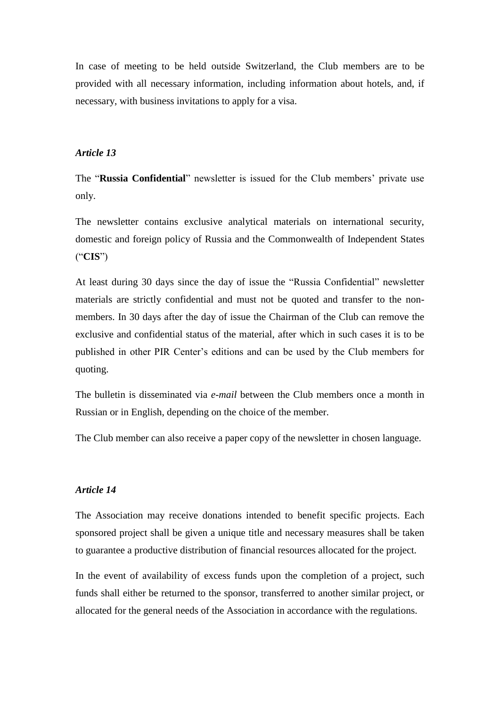In case of meeting to be held outside Switzerland, the Club members are to be provided with all necessary information, including information about hotels, and, if necessary, with business invitations to apply for a visa.

### *Article 13*

The "**Russia Confidential**" newsletter is issued for the Club members' private use only.

The newsletter contains exclusive analytical materials on international security, domestic and foreign policy of Russia and the Commonwealth of Independent States ("**CIS**")

At least during 30 days since the day of issue the "Russia Confidential" newsletter materials are strictly confidential and must not be quoted and transfer to the nonmembers. In 30 days after the day of issue the Chairman of the Club can remove the exclusive and confidential status of the material, after which in such cases it is to be published in other PIR Center's editions and can be used by the Club members for quoting.

The bulletin is disseminated via *e-mail* between the Club members once a month in Russian or in English, depending on the choice of the member.

The Club member can also receive a paper copy of the newsletter in chosen language.

### *Article 14*

The Association may receive donations intended to benefit specific projects. Each sponsored project shall be given a unique title and necessary measures shall be taken to guarantee a productive distribution of financial resources allocated for the project.

In the event of availability of excess funds upon the completion of a project, such funds shall either be returned to the sponsor, transferred to another similar project, or allocated for the general needs of the Association in accordance with the regulations.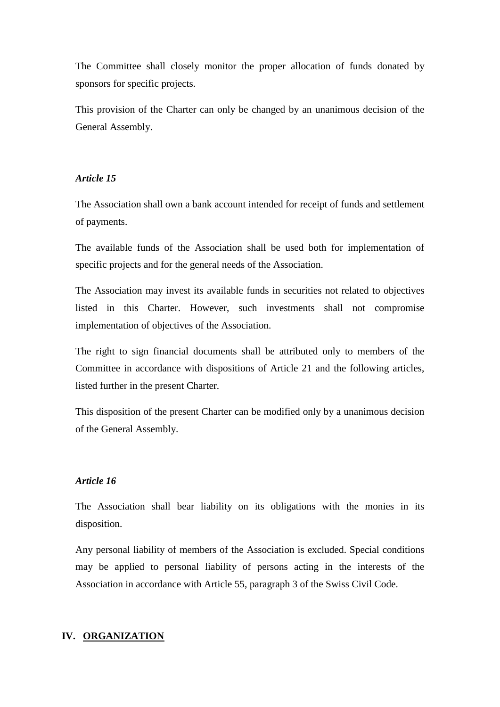The Committee shall closely monitor the proper allocation of funds donated by sponsors for specific projects.

This provision of the Charter can only be changed by an unanimous decision of the General Assembly.

### *Article 15*

The Association shall own a bank account intended for receipt of funds and settlement of payments.

The available funds of the Association shall be used both for implementation of specific projects and for the general needs of the Association.

The Association may invest its available funds in securities not related to objectives listed in this Charter. However, such investments shall not compromise implementation of objectives of the Association.

The right to sign financial documents shall be attributed only to members of the Committee in accordance with dispositions of Article 21 and the following articles, listed further in the present Charter.

This disposition of the present Charter can be modified only by a unanimous decision of the General Assembly.

### *Article 16*

The Association shall bear liability on its obligations with the monies in its disposition.

Any personal liability of members of the Association is excluded. Special conditions may be applied to personal liability of persons acting in the interests of the Association in accordance with Article 55, paragraph 3 of the Swiss Civil Code.

#### **IV. ORGANIZATION**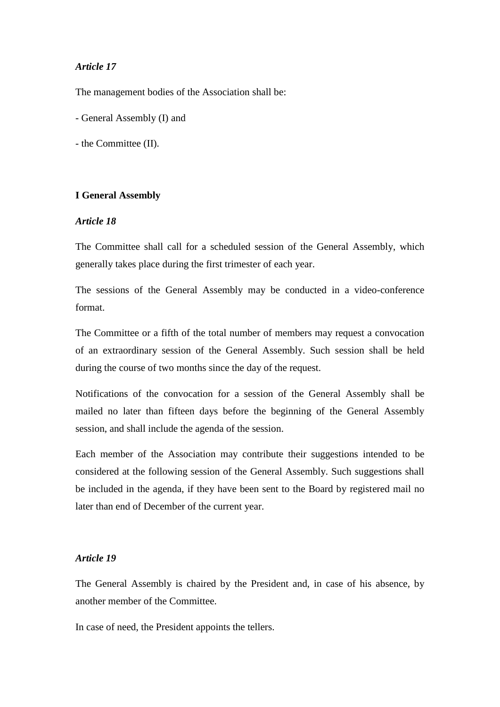The management bodies of the Association shall be:

- General Assembly (I) and
- the Committee (II).

#### **I General Assembly**

# *Article 18*

The Committee shall call for a scheduled session of the General Assembly, which generally takes place during the first trimester of each year.

The sessions of the General Assembly may be conducted in a video-conference format.

The Committee or a fifth of the total number of members may request a convocation of an extraordinary session of the General Assembly. Such session shall be held during the course of two months since the day of the request.

Notifications of the convocation for a session of the General Assembly shall be mailed no later than fifteen days before the beginning of the General Assembly session, and shall include the agenda of the session.

Each member of the Association may contribute their suggestions intended to be considered at the following session of the General Assembly. Such suggestions shall be included in the agenda, if they have been sent to the Board by registered mail no later than end of December of the current year.

### *Article 19*

The General Assembly is chaired by the President and, in case of his absence, by another member of the Committee.

In case of need, the President appoints the tellers.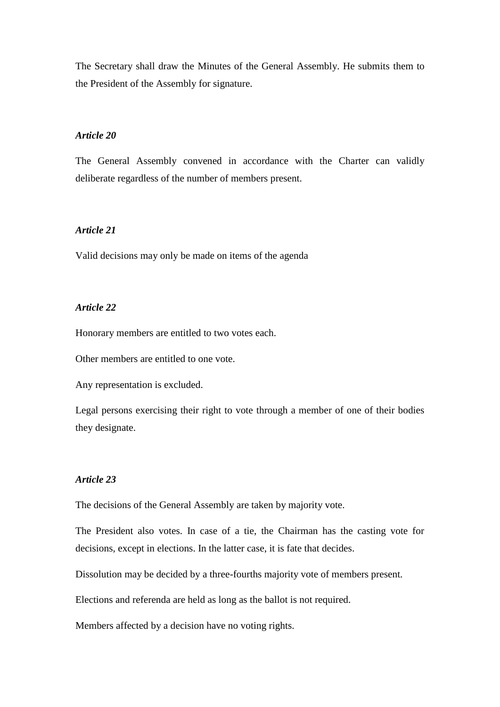The Secretary shall draw the Minutes of the General Assembly. He submits them to the President of the Assembly for signature.

### *Article 20*

The General Assembly convened in accordance with the Charter can validly deliberate regardless of the number of members present.

## *Article 21*

Valid decisions may only be made on items of the agenda

## *Article 22*

Honorary members are entitled to two votes each.

Other members are entitled to one vote.

Any representation is excluded.

Legal persons exercising their right to vote through a member of one of their bodies they designate.

### *Article 23*

The decisions of the General Assembly are taken by majority vote.

The President also votes. In case of a tie, the Chairman has the casting vote for decisions, except in elections. In the latter case, it is fate that decides.

Dissolution may be decided by a three-fourths majority vote of members present.

Elections and referenda are held as long as the ballot is not required.

Members affected by a decision have no voting rights.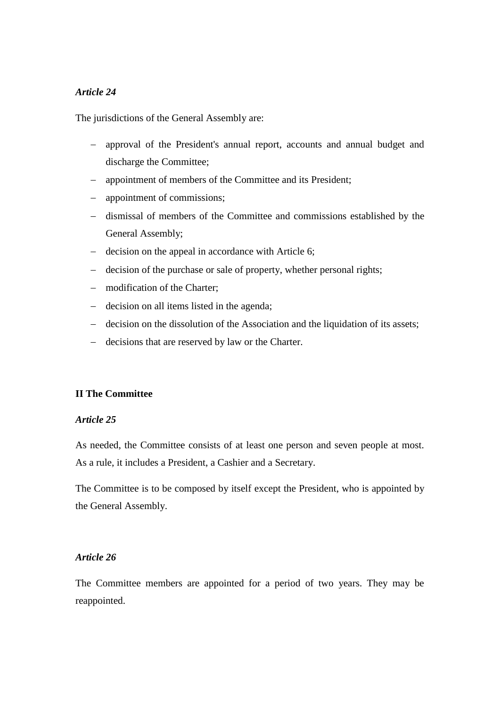The jurisdictions of the General Assembly are:

- approval of the President's annual report, accounts and annual budget and discharge the Committee;
- appointment of members of the Committee and its President;
- appointment of commissions;
- dismissal of members of the Committee and commissions established by the General Assembly;
- decision on the appeal in accordance with Article 6;
- decision of the purchase or sale of property, whether personal rights;
- modification of the Charter;
- decision on all items listed in the agenda;
- decision on the dissolution of the Association and the liquidation of its assets;
- decisions that are reserved by law or the Charter.

### **II The Committee**

# *Article 25*

As needed, the Committee consists of at least one person and seven people at most. As a rule, it includes a President, a Cashier and a Secretary.

The Committee is to be composed by itself except the President, who is appointed by the General Assembly.

### *Article 26*

The Committee members are appointed for a period of two years. They may be reappointed.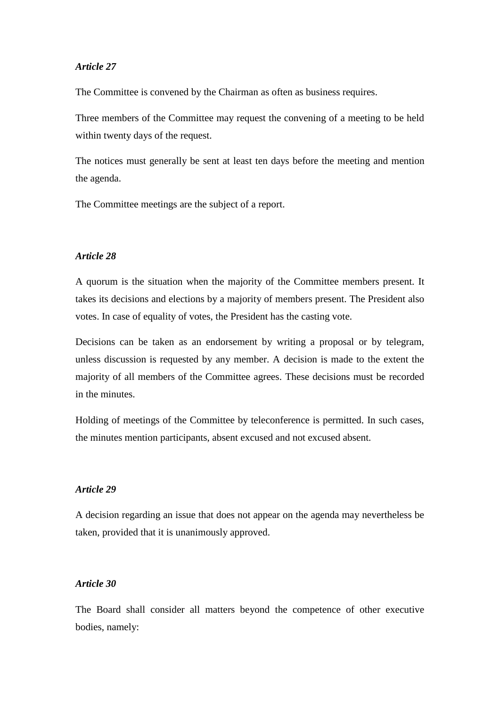The Committee is convened by the Chairman as often as business requires.

Three members of the Committee may request the convening of a meeting to be held within twenty days of the request.

The notices must generally be sent at least ten days before the meeting and mention the agenda.

The Committee meetings are the subject of a report.

## *Article 28*

A quorum is the situation when the majority of the Committee members present. It takes its decisions and elections by a majority of members present. The President also votes. In case of equality of votes, the President has the casting vote.

Decisions can be taken as an endorsement by writing a proposal or by telegram, unless discussion is requested by any member. A decision is made to the extent the majority of all members of the Committee agrees. These decisions must be recorded in the minutes.

Holding of meetings of the Committee by teleconference is permitted. In such cases, the minutes mention participants, absent excused and not excused absent.

## *Article 29*

A decision regarding an issue that does not appear on the agenda may nevertheless be taken, provided that it is unanimously approved.

### *Article 30*

The Board shall consider all matters beyond the competence of other executive bodies, namely: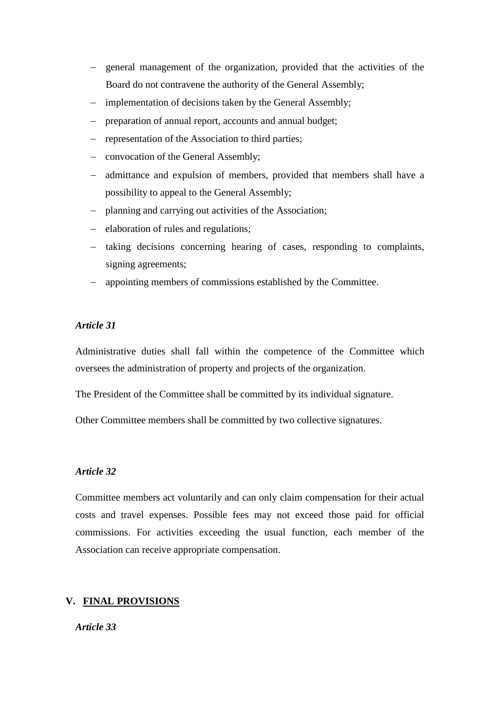- general management of the organization, provided that the activities of the Board do not contravene the authority of the General Assembly;
- implementation of decisions taken by the General Assembly;
- preparation of annual report, accounts and annual budget;
- representation of the Association to third parties;
- convocation of the General Assembly;
- admittance and expulsion of members, provided that members shall have a possibility to appeal to the General Assembly;
- planning and carrying out activities of the Association;
- elaboration of rules and regulations;
- taking decisions concerning hearing of cases, responding to complaints, signing agreements;
- appointing members of commissions established by the Committee.

Administrative duties shall fall within the competence of the Committee which oversees the administration of property and projects of the organization.

The President of the Committee shall be committed by its individual signature.

Other Committee members shall be committed by two collective signatures.

### *Article 32*

Committee members act voluntarily and can only claim compensation for their actual costs and travel expenses. Possible fees may not exceed those paid for official commissions. For activities exceeding the usual function, each member of the Association can receive appropriate compensation.

# **V. FINAL PROVISIONS**

*Article 33*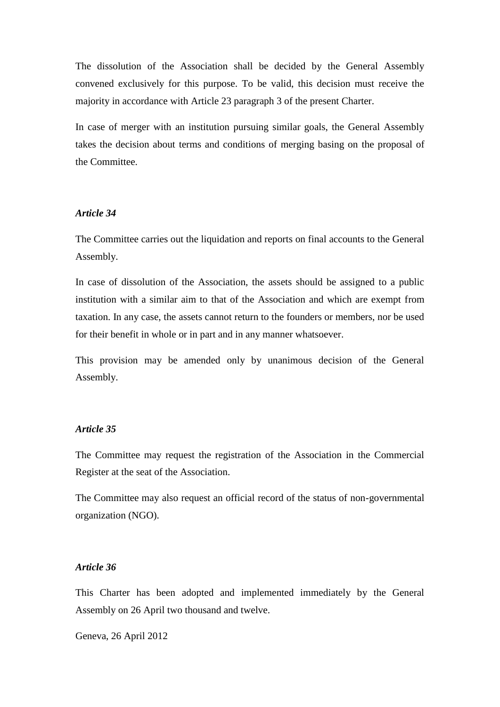The dissolution of the Association shall be decided by the General Assembly convened exclusively for this purpose. To be valid, this decision must receive the majority in accordance with Article 23 paragraph 3 of the present Charter.

In case of merger with an institution pursuing similar goals, the General Assembly takes the decision about terms and conditions of merging basing on the proposal of the Committee.

### *Article 34*

The Committee carries out the liquidation and reports on final accounts to the General Assembly.

In case of dissolution of the Association, the assets should be assigned to a public institution with a similar aim to that of the Association and which are exempt from taxation. In any case, the assets cannot return to the founders or members, nor be used for their benefit in whole or in part and in any manner whatsoever.

This provision may be amended only by unanimous decision of the General Assembly.

### *Article 35*

The Committee may request the registration of the Association in the Commercial Register at the seat of the Association.

The Committee may also request an official record of the status of non-governmental organization (NGO).

## *Article 36*

This Charter has been adopted and implemented immediately by the General Assembly on 26 April two thousand and twelve.

Geneva, 26 April 2012